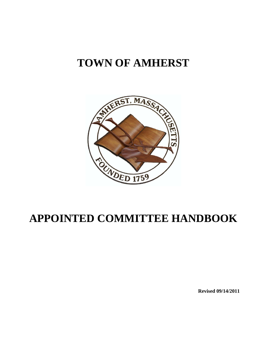# **TOWN OF AMHERST**



# **APPOINTED COMMITTEE HANDBOOK**

**Revised 09/14/2011**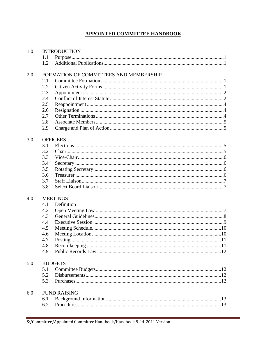# **APPOINTED COMMITTEE HANDBOOK**

| 1.0 | <b>INTRODUCTION</b>                    |            |  |  |
|-----|----------------------------------------|------------|--|--|
|     | 1.1                                    |            |  |  |
|     | 1.2                                    |            |  |  |
| 2.0 | FORMATION OF COMMITTEES AND MEMBERSHIP |            |  |  |
|     | 2.1                                    |            |  |  |
|     | 2.2                                    |            |  |  |
|     | 2.3                                    |            |  |  |
|     | 2.4                                    |            |  |  |
|     | 2.5                                    |            |  |  |
|     | 2.6                                    |            |  |  |
|     | 2.7                                    |            |  |  |
|     | 2.8                                    |            |  |  |
|     | 2.9                                    |            |  |  |
| 3.0 | <b>OFFICERS</b>                        |            |  |  |
|     | 3.1                                    |            |  |  |
|     | 3.2                                    |            |  |  |
|     | 3.3                                    |            |  |  |
|     | 3.4                                    |            |  |  |
|     | 3.5                                    |            |  |  |
|     | 3.6                                    |            |  |  |
|     | 3.7                                    |            |  |  |
|     | 3.8                                    |            |  |  |
| 4.0 | <b>MEETINGS</b>                        |            |  |  |
|     | 4.1                                    | Definition |  |  |
|     | 4.2                                    |            |  |  |
|     | 4.3                                    |            |  |  |
|     | 4.4                                    |            |  |  |
|     | 4.5                                    |            |  |  |
|     | 4.6                                    |            |  |  |
|     | 4.7                                    |            |  |  |
|     | 4.8                                    |            |  |  |
|     | 4.9                                    |            |  |  |
| 5.0 | <b>BUDGETS</b>                         |            |  |  |
|     | 5.1                                    |            |  |  |
|     | 5.2                                    |            |  |  |
|     | 5.3                                    |            |  |  |
| 6.0 | <b>FUND RAISING</b>                    |            |  |  |
|     | 6.1                                    |            |  |  |
|     | 6.2                                    |            |  |  |
|     |                                        |            |  |  |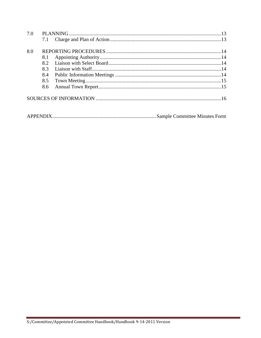| 7.0 |     |  |  |
|-----|-----|--|--|
|     | 7.1 |  |  |
|     |     |  |  |
| 8.0 |     |  |  |
|     | 8.1 |  |  |
|     | 82  |  |  |
|     | 8.3 |  |  |
|     | 8.4 |  |  |
|     | 8.5 |  |  |
|     | 8.6 |  |  |
|     |     |  |  |
|     |     |  |  |
|     |     |  |  |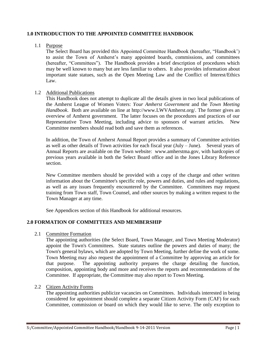# **1.0 INTRODUCTION TO THE APPOINTED COMMITTEE HANDBOOK**

# 1.1 Purpose

The Select Board has provided this Appointed Committee Handbook (hereafter, "Handbook') to assist the Town of Amherst's many appointed boards, commissions, and committees (hereafter, "Committees"). The Handbook provides a brief description of procedures which may be well known to many but are less familiar to others. It also provides information about important state statues, such as the Open Meeting Law and the Conflict of Interest/Ethics Law.

# 1.2 Additional Publications

This Handbook does not attempt to duplicate all the details given in two local publications of the Amherst League of Women Voters: *Your Amherst Government* and the *Town Meeting Handbook*. Both are available on line at [http://www.LWVAmherst.org/.](http://www.lwvamherst.org/cms/) The former gives an overview of Amherst government. The latter focuses on the procedures and practices of our Representative Town Meeting, including advice to sponsors of warrant articles. New Committee members should read both and save them as references.

In addition, the Town of Amherst Annual Report provides a summary of Committee activities as well as other details of Town activities for each fiscal year (July – June). Several years of Annual Reports are available on the Town website: [www.amherstma.gov,](http://www.amherstma.gov/) with hardcopies of previous years available in both the Select Board office and in the Jones Library Reference section.

New Committee members should be provided with a copy of the charge and other written information about the Committee's specific role, powers and duties, and rules and regulations, as well as any issues frequently encountered by the Committee. Committees may request training from Town staff, Town Counsel, and other sources by making a written request to the Town Manager at any time.

See Appendices section of this Handbook for additional resources.

# **2.0 FORMATION OF COMMITTEES AND MEMBERSHIP**

2.1 Committee Formation

The appointing authorities (the Select Board, Town Manager, and Town Meeting Moderator) appoint the Town's Committees. State statutes outline the powers and duties of many; the Town's general bylaws, which are adopted by Town Meeting, further define the work of some. Town Meeting may also request the appointment of a Committee by approving an article for that purpose. The appointing authority prepares the charge detailing the function, composition, appointing body and more and receives the reports and recommendations of the Committee. If appropriate, the Committee may also report to Town Meeting.

# 2.2 Citizen Activity Forms

The appointing authorities publicize vacancies on Committees. Individuals interested in being considered for appointment should complete a separate Citizen Activity Form (CAF) for each Committee, commission or board on which they would like to serve. The only exception to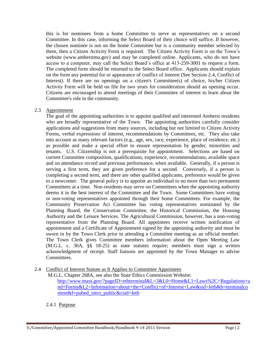this is for nominees from a home Committee to serve as representatives on a second Committee. In this case, informing the Select Board of their choice will suffice. If however, the chosen nominee is not on the home Committee but is a community member selected by them, then a Citizen Activity Form is required. The Citizen Activity Form is on the Town's website [\(www.amherstma.gov\)](http://www.amherstma.gov/) and may be completed online. Applicants, who do not have access to a computer, may call the Select Board's office at 413-259-3001 to request a form. The completed form should be returned to the Select Board office. Applicants should explain on the form any potential for or appearance of conflict of interest (See Section 2.4, Conflict of Interest). If there are no openings on a citizen's Committee(s) of choice, his/her Citizen Activity Form will be held on file for two years for consideration should an opening occur. Citizens are encouraged to attend meetings of their Committee of interest to learn about the Committee's role in the community.

#### 2.3 Appointment

The goal of the appointing authorities is to appoint qualified and interested Amherst residents who are broadly representative of the Town. The appointing authorities carefully consider applications and suggestions from many sources, including but not limited to Citizen Activity Forms, verbal expressions of interest, recommendations by Committees, etc. They also take into account as many relevant factors (e.g., age, sex, race, experience, place of residence, etc.) as possible and make a special effort to ensure representation by gender, minorities and tenants. U.S. Citizenship is not a prerequisite for appointment. Selections are based on current Committee composition, qualifications, experience, recommendations, available space and on attendance record and previous performance, when available. Generally, if a person is serving a first term, they are given preference for a second. Conversely, if a person is completing a second term, and there are other qualified applicants, preference would be given to a newcomer. The general policy is to appoint an individual to no more than two permanent Committees at a time. Non-residents may serve on Committees when the appointing authority deems it in the best interest of the Committee and the Town. Some Committees have voting or non-voting representatives appointed through their home Committees. For example, the Community Preservation Act Committee has voting representatives nominated by the Planning Board, the Conservation Committee, the Historical Commission, the Housing Authority and the Leisure Services. The Agricultural Commission, however, has a non-voting representative from the Planning Board. All appointees receive written notification of appointment and a Certificate of Appointment signed by the appointing authority and must be sworn in by the Town Clerk prior to attending a Committee meeting as an official member. The Town Clerk gives Committee members information about the Open Meeting Law (M.G.L. c. 30A, §§ 18-25) as state statutes require; members must sign a written acknowledgment of receipt. Staff liaisons are appointed by the Town Manager to advise Committees.

2.4 Conflict of Interest Statute as It Applies to Committee Appointees

M.G.L. Chapter 268A, see also the State Ethics Commission Website: [http://www.mass.gov/?pageID=ethterminal&L=3&L0=Home&L1=Laws%2C+Regulations+a](http://www.mass.gov/?pageID=ethterminal&L=3&L0=Home&L1=Laws%2C+Regulations+and+Forms&L2=Information+about+the+Conflict+of+Interest+Law&sid=Ieth&b=terminalcontent&f=pubed_intro_public&csid=Ieth) [nd+Forms&L2=Information+about+the+Conflict+of+Interest+Law&sid=Ieth&b=terminalco](http://www.mass.gov/?pageID=ethterminal&L=3&L0=Home&L1=Laws%2C+Regulations+and+Forms&L2=Information+about+the+Conflict+of+Interest+Law&sid=Ieth&b=terminalcontent&f=pubed_intro_public&csid=Ieth) [ntent&f=pubed\\_intro\\_public&csid=Ieth](http://www.mass.gov/?pageID=ethterminal&L=3&L0=Home&L1=Laws%2C+Regulations+and+Forms&L2=Information+about+the+Conflict+of+Interest+Law&sid=Ieth&b=terminalcontent&f=pubed_intro_public&csid=Ieth)

# 2.4.1 Purpose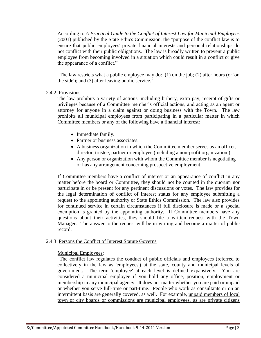According to *A Practical Guide to the Conflict of Interest Law for Municipal Employees*  (2001) published by the State Ethics Commission, the "purpose of the conflict law is to ensure that public employees' private financial interests and personal relationships do not conflict with their public obligations. The law is broadly written to prevent a public employee from becoming involved in a situation which could result in a conflict or give the appearance of a conflict."

"The law restricts what a public employee may do: (1) on the job; (2) after hours (or 'on the side'); and (3) after leaving public service."

# 2.4.2 Provisions

The law prohibits a variety of actions, including bribery, extra pay, receipt of gifts or privileges because of a Committee member's official actions, and acting as an agent or attorney for anyone in a claim against or doing business with the Town. The law prohibits all municipal employees from participating in a particular matter in which Committee members or any of the following have a financial interest:

- Immediate family.
- Partner or business associates.
- A business organization in which the Committee member serves as an officer, director, trustee, partner or employee (including a non-profit organization.)
- Any person or organization with whom the Committee member is negotiating or has any arrangement concerning prospective employment.

If Committee members have a conflict of interest or an appearance of conflict in any matter before the board or Committee, they should not be counted in the quorum nor participate in or be present for any pertinent discussions or votes. The law provides for the legal determination of conflict of interest status for any employee submitting a request to the appointing authority or State Ethics Commission. The law also provides for continued service in certain circumstances if full disclosure is made or a special exemption is granted by the appointing authority. If Committee members have any questions about their activities, they should file a written request with the Town Manager. The answer to the request will be in writing and become a matter of public record.

# 2.4.3 Persons the Conflict of Interest Statute Governs

# Municipal Employees:

"The conflict law regulates the conduct of public officials and employees (referred to collectively in the law as 'employees') at the state, county and municipal levels of government. The term 'employee' at each level is defined expansively. You are considered a municipal employee if you hold any office, position, employment or membership in any municipal agency. It does not matter whether you are paid or unpaid or whether you serve full-time or part-time. People who work as consultants or on an intermittent basis are generally covered, as well. For example, unpaid members of local town or city boards or commissions are municipal employees, as are private citizens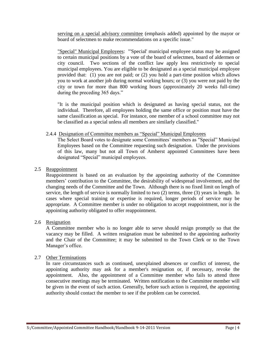serving on a special advisory committee (emphasis added) appointed by the mayor or board of selectmen to make recommendations on a specific issue."

"Special" Municipal Employees: "'Special' municipal employee status may be assigned to certain municipal positions by a vote of the board of selectmen, board of aldermen or city council. Two sections of the conflict law apply less restrictively to special municipal employees. You are eligible to be designated as a special municipal employee provided that: (1) you are not paid; or (2) you hold a part-time position which allows you to work at another job during normal working hours; or (3) you were not paid by the city or town for more than 800 working hours (approximately 20 weeks full-time) during the preceding 365 days."

"It is the municipal position which is designated as having special status, not the individual. Therefore, all employees holding the same office or position must have the same classification as special. For instance, one member of a school committee may not be classified as a special unless all members are similarly classified."

#### 2.4.4 Designation of Committee members as "Special" Municipal Employees

The Select Board votes to designate some Committees' members as "Special" Municipal Employees based on the Committee requesting such designation. Under the provisions of this law, many but not all Town of Amherst appointed Committees have been designated "Special" municipal employees.

#### 2.5 Reappointment

Reappointment is based on an evaluation by the appointing authority of the Committee members' contribution to the Committee, the desirability of widespread involvement, and the changing needs of the Committee and the Town. Although there is no fixed limit on length of service, the length of service is normally limited to two (2) terms, three (3) years in length. In cases where special training or expertise is required, longer periods of service may be appropriate. A Committee member is under no obligation to accept reappointment, nor is the appointing authority obligated to offer reappointment.

#### 2.6 Resignation

A Committee member who is no longer able to serve should resign promptly so that the vacancy may be filled. A written resignation must be submitted to the appointing authority and the Chair of the Committee; it may be submitted to the Town Clerk or to the Town Manager's office.

# 2.7 Other Terminations

In rare circumstances such as continued, unexplained absences or conflict of interest, the appointing authority may ask for a member's resignation or, if necessary, revoke the appointment. Also, the appointment of a Committee member who fails to attend three consecutive meetings may be terminated. Written notification to the Committee member will be given in the event of such action. Generally, before such action is required, the appointing authority should contact the member to see if the problem can be corrected.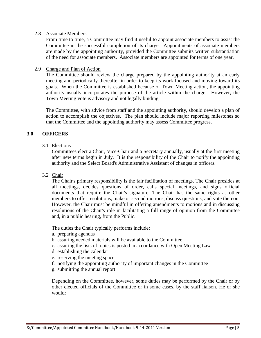#### 2.8 Associate Members

From time to time, a Committee may find it useful to appoint associate members to assist the Committee in the successful completion of its charge. Appointments of associate members are made by the appointing authority, provided the Committee submits written substantiation of the need for associate members. Associate members are appointed for terms of one year.

#### 2.9 Charge and Plan of Action

The Committee should review the charge prepared by the appointing authority at an early meeting and periodically thereafter in order to keep its work focused and moving toward its goals. When the Committee is established because of Town Meeting action, the appointing authority usually incorporates the purpose of the article within the charge. However, the Town Meeting vote is advisory and not legally binding.

The Committee, with advice from staff and the appointing authority, should develop a plan of action to accomplish the objectives. The plan should include major reporting milestones so that the Committee and the appointing authority may assess Committee progress.

# **3.0 OFFICERS**

3.1 Elections

Committees elect a Chair, Vice-Chair and a Secretary annually, usually at the first meeting after new terms begin in July. It is the responsibility of the Chair to notify the appointing authority and the Select Board's Administrative Assistant of changes in officers.

#### 3.2 Chair

The Chair's primary responsibility is the fair facilitation of meetings. The Chair presides at all meetings, decides questions of order, calls special meetings, and signs official documents that require the Chair's signature. The Chair has the same rights as other members to offer resolutions, make or second motions, discuss questions, and vote thereon. However, the Chair must be mindful in offering amendments to motions and in discussing resolutions of the Chair's role in facilitating a full range of opinion from the Committee and, in a public hearing, from the Public.

The duties the Chair typically performs include:

- a. preparing agendas
- b. assuring needed materials will be available to the Committee
- c. assuring the lists of topics is posted in accordance with Open Meeting Law
- d. establishing the calendar
- e. reserving the meeting space
- f. notifying the appointing authority of important changes in the Committee
- g. submitting the annual report

Depending on the Committee, however, some duties may be performed by the Chair or by other elected officials of the Committee or in some cases, by the staff liaison. He or she would: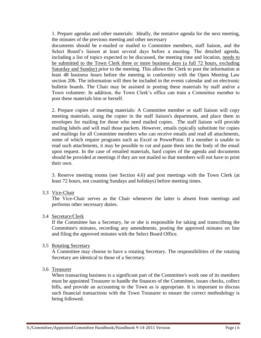1. Prepare agendas and other materials: Ideally, the tentative agenda for the next meeting, the minutes of the previous meeting and other necessary

documents should be e-mailed or mailed to Committee members, staff liaison, and the Select Board's liaison at least several days before a meeting. The detailed agenda, including a list of topics expected to be discussed, the meeting time and location, needs to be submitted to the Town Clerk three or more business days (a full 72 hours, excluding Saturday and Sunday) prior to the meeting. This allows the Clerk to post the information at least 48 business hours before the meeting in conformity with the Open Meeting Law section 20b. The information will then be included in the events calendar and on electronic bulletin boards. The Chair may be assisted in posting these materials by staff and/or a Town volunteer. In addition, the Town Clerk's office can train a Committee member to post these materials him or herself.

2. Prepare copies of meeting materials: A Committee member or staff liaison will copy meeting materials, using the copier in the staff liaison's department, and place them in envelopes for mailing for those who need mailed copies. The staff liaison will provide mailing labels and will mail those packets. However, emails typically substitute for copies and mailings for all Committee members who can receive emails and read all attachments, some of which require programs such as Excel or PowerPoint. If a member is unable to read such attachments, it may be possible to cut and paste them into the body of the email upon request. In the case of emailed materials, hard copies of the agenda and documents should be provided at meetings if they are not mailed so that members will not have to print their own.

3. Reserve meeting rooms (see Section 4.6) and post meetings with the Town Clerk (at least 72 hours, not counting Sundays and holidays) before meeting times.

3.3 Vice-Chair

The Vice-Chair serves as the Chair whenever the latter is absent from meetings and performs other necessary duties.

3.4 Secretary/Clerk

If the Committee has a Secretary, he or she is responsible for taking and transcribing the Committee's minutes, recording any amendments, posting the approved minutes on line and filing the approved minutes with the Select Board Office.

#### 3.5 Rotating Secretary

A Committee may choose to have a rotating Secretary. The responsibilities of the rotating Secretary are identical to those of a Secretary.

3.6 Treasurer

When transacting business is a significant part of the Committee's work one of its members must be appointed Treasurer to handle the finances of the Committee, issues checks, collect bills, and provide an accounting to the Town as is appropriate. It is important to discuss such financial transactions with the Town Treasurer to ensure the correct methodology is being followed.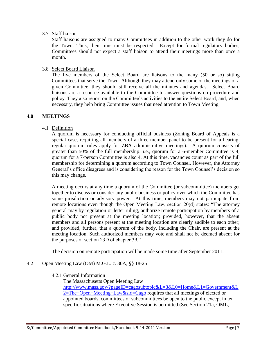#### 3.7 Staff liaison

Staff liaisons are assigned to many Committees in addition to the other work they do for the Town. Thus, their time must be respected. Except for formal regulatory bodies, Committees should not expect a staff liaison to attend their meetings more than once a month.

#### 3.8 Select Board Liaison

The five members of the Select Board are liaisons to the many (50 or so) sitting Committees that serve the Town. Although they may attend only some of the meetings of a given Committee, they should still receive all the minutes and agendas. Select Board liaisons are a resource available to the Committee to answer questions on procedure and policy. They also report on the Committee's activities to the entire Select Board, and, when necessary, they help bring Committee issues that need attention to Town Meeting.

#### **4.0 MEETINGS**

#### 4.1 Definition

A quorum is necessary for conducting official business (Zoning Board of Appeals is a special case, requiring all members of a three-member panel to be present for a hearing; regular quorum rules apply for ZBA administrative meetings). A quorum consists of greater than 50% of the full membership: i.e., quorum for a 6-member Committee is 4; quorum for a 7-person Committee is also 4. At this time, vacancies count as part of the full membership for determining a quorum according to Town Counsel. However, the Attorney General's office disagrees and is considering the reason for the Town Counsel's decision so this may change.

A meeting occurs at any time a quorum of the Committee (or subcommittee) members get together to discuss or consider any public business or policy over which the Committee has some jurisdiction or advisory power. At this time, members may not participate from remote locations even though the Open Meeting Law, section 20(d) states: "The attorney general may by regulation or letter ruling, authorize remote participation by members of a public body not present at the meeting location; provided, however, that the absent members and all persons present at the meeting location are clearly audible to each other; and provided, further, that a quorum of the body, including the Chair, are present at the meeting location. Such authorized members may vote and shall not be deemed absent for the purposes of section 23D of chapter 39."

The decision on remote participation will be made some time after September 2011.

# 4.2 Open Meeting Law (OM) M.G.L. c. 30A, §§ 18-25

#### 4.2.1 General Information

The Massachusetts Open Meeting Law

[http://www.mass.gov/?pageID=cagosubtopic&L=3&L0=Home&L1=Government&L](http://www.mass.gov/?pageID=cagosubtopic&L=3&L0=Home&L1=Government&L2=The+Open+Meeting+Law&sid=Cago) [2=The+Open+Meeting+Law&sid=Cago](http://www.mass.gov/?pageID=cagosubtopic&L=3&L0=Home&L1=Government&L2=The+Open+Meeting+Law&sid=Cago) requires that all meetings of elected or appointed boards, committees or subcommittees be open to the public except in ten specific situations where Executive Session is permitted (See Section 21a, OML,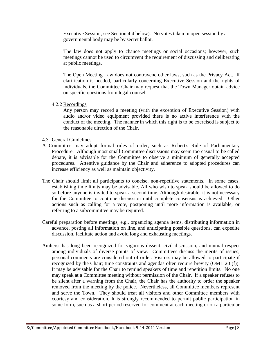Executive Session; see Section 4.4 below). No votes taken in open session by a governmental body may be by secret ballot.

The law does not apply to chance meetings or social occasions; however, such meetings cannot be used to circumvent the requirement of discussing and deliberating at public meetings.

The Open Meeting Law does not contravene other laws, such as the Privacy Act. If clarification is needed, particularly concerning Executive Session and the rights of individuals, the Committee Chair may request that the Town Manager obtain advice on specific questions from legal counsel.

4.2.2 Recordings

Any person may record a meeting (with the exception of Executive Session) with audio and/or video equipment provided there is no active interference with the conduct of the meeting. The manner in which this right is to be exercised is subject to the reasonable direction of the Chair.

- 4.3 General Guidelines
- A Committee may adopt formal rules of order, such as Robert's Rule of Parliamentary Procedure. Although most small Committee discussions may seem too casual to be called debate, it is advisable for the Committee to observe a minimum of generally accepted procedures. Attentive guidance by the Chair and adherence to adopted procedures can increase efficiency as well as maintain objectivity.
- The Chair should limit all participants to concise, non-repetitive statements. In some cases, establishing time limits may be advisable. All who wish to speak should be allowed to do so before anyone is invited to speak a second time. Although desirable, it is not necessary for the Committee to continue discussion until complete consensus is achieved. Other actions such as calling for a vote, postponing until more information is available, or referring to a subcommittee may be required.
- Careful preparation before meetings, e.g., organizing agenda items, distributing information in advance, posting all information on line, and anticipating possible questions, can expedite discussion, facilitate action and avoid long and exhausting meetings.
- Amherst has long been recognized for vigorous dissent, civil discussion, and mutual respect among individuals of diverse points of view. Committees discuss the merits of issues; personal comments are considered out of order. Visitors may be allowed to participate if recognized by the Chair; time constraints and agendas often require brevity (OML 20 (f)). It may be advisable for the Chair to remind speakers of time and repetition limits. No one may speak at a Committee meeting without permission of the Chair. If a speaker refuses to be silent after a warning from the Chair, the Chair has the authority to order the speaker removed from the meeting by the police. Nevertheless, all Committee members represent and serve the Town. They should treat all visitors and other Committee members with courtesy and consideration. It is strongly recommended to permit public participation in some form, such as a short period reserved for comment at each meeting or on a particular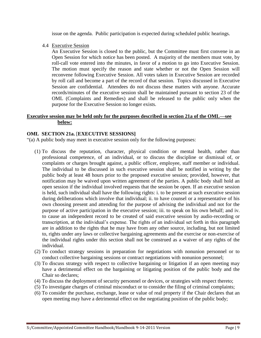issue on the agenda. Public participation is expected during scheduled public hearings.

4.4 Executive Session

An Executive Session is closed to the public, but the Committee must first convene in an Open Session for which notice has been posted. A majority of the members must vote, by roll-call vote entered into the minutes, in favor of a motion to go into Executive Session. The motion must specify the reason and state whether or not the Open Session will reconvene following Executive Session. All votes taken in Executive Session are recorded by roll call and become a part of the record of that session. Topics discussed in Executive Session are confidential. Attendees do not discuss these matters with anyone. Accurate records/minutes of the executive session shall be maintained pursuant to section 23 of the OML (Complaints and Remedies) and shall be released to the public only when the purpose for the Executive Session no longer exists.

# **Executive session may be held only for the purposes described in section 21a of the OML—see below:**

# **OML SECTION 21a.** [**EXECUTIVE SESSIONS]**

"(a) A public body may meet in executive session only for the following purposes:

- (1) To discuss the reputation, character, physical condition or mental health, rather than professional competence, of an individual, or to discuss the discipline or dismissal of, or complaints or charges brought against, a public officer, employee, staff member or individual. The individual to be discussed in such executive session shall be notified in writing by the public body at least 48 hours prior to the proposed executive session; provided, however, that notification may be waived upon written agreement of the parties. A public body shall hold an open session if the individual involved requests that the session be open. If an executive session is held, such individual shall have the following rights: i. to be present at such executive session during deliberations which involve that individual; ii. to have counsel or a representative of his own choosing present and attending for the purpose of advising the individual and not for the purpose of active participation in the executive session; iii. to speak on his own behalf; and iv. to cause an independent record to be created of said executive session by audio-recording or transcription, at the individual's expense. The rights of an individual set forth in this paragraph are in addition to the rights that he may have from any other source, including, but not limited to, rights under any laws or collective bargaining agreements and the exercise or non-exercise of the individual rights under this section shall not be construed as a waiver of any rights of the individual.
- (2) To conduct strategy sessions in preparation for negotiations with nonunion personnel or to conduct collective bargaining sessions or contract negotiations with nonunion personnel;
- (3) To discuss strategy with respect to collective bargaining or litigation if an open meeting may have a detrimental effect on the bargaining or litigating position of the public body and the Chair so declares;
- (4) To discuss the deployment of security personnel or devices, or strategies with respect thereto;
- (5) To investigate charges of criminal misconduct or to consider the filing of criminal complaints;
- (6) To consider the purchase, exchange, lease or value of real property if the Chair declares that an open meeting may have a detrimental effect on the negotiating position of the public body;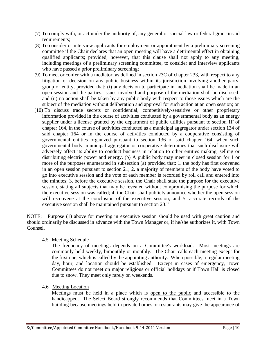- (7) To comply with, or act under the authority of, any general or special law or federal grant-in-aid requirements;
- (8) To consider or interview applicants for employment or appointment by a preliminary screening committee if the Chair declares that an open meeting will have a detrimental effect in obtaining qualified applicants; provided, however, that this clause shall not apply to any meeting, including meetings of a preliminary screening committee, to consider and interview applicants who have passed a prior preliminary screening;
- (9) To meet or confer with a mediator, as defined in section 23C of chapter 233, with respect to any litigation or decision on any public business within its jurisdiction involving another party, group or entity, provided that: (i) any decision to participate in mediation shall be made in an open session and the parties, issues involved and purpose of the mediation shall be disclosed; and (ii) no action shall be taken by any public body with respect to those issues which are the subject of the mediation without deliberation and approval for such action at an open session; or
- (10) To discuss trade secrets or confidential, competitively-sensitive or other proprietary information provided in the course of activities conducted by a governmental body as an energy supplier under a license granted by the department of public utilities pursuant to section 1F of chapter 164, in the course of activities conducted as a municipal aggregator under section 134 of said chapter 164 or in the course of activities conducted by a cooperative consisting of governmental entities organized pursuant to section 136 of said chapter 164, when such governmental body, municipal aggregator or cooperative determines that such disclosure will adversely affect its ability to conduct business in relation to other entities making, selling or distributing electric power and energy. (b) A public body may meet in closed session for 1 or more of the purposes enumerated in subsection (a) provided that: 1. the body has first convened in an open session pursuant to section 21; 2. a majority of members of the body have voted to go into executive session and the vote of each member is recorded by roll call and entered into the minutes; 3. before the executive session, the Chair shall state the purpose for the executive session, stating all subjects that may be revealed without compromising the purpose for which the executive session was called; 4. the Chair shall publicly announce whether the open session will reconvene at the conclusion of the executive session; and 5. accurate records of the executive session shall be maintained pursuant to section 23."

NOTE; Purpose (1) above for meeting in executive session should be used with great caution and should ordinarily be discussed in advance with the Town Manager or, if he/she authorizes it, with Town Counsel.

4.5 Meeting Schedule

The frequency of meetings depends on a Committee's workload. Most meetings are commonly held weekly, bimonthly or monthly. The Chair calls each meeting except for the first one, which is called by the appointing authority. When possible, a regular meeting day, hour, and location should be established. Except in cases of emergency, Town Committees do not meet on major religious or official holidays or if Town Hall is closed due to snow. They meet only rarely on weekends.

4.6 Meeting Location

Meetings must be held in a place which is open to the public and accessible to the handicapped. The Select Board strongly recommends that Committees meet in a Town building because meetings held in private homes or restaurants may give the appearance of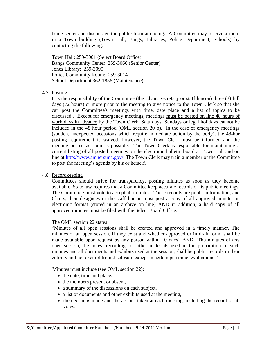being secret and discourage the public from attending. A Committee may reserve a room in a Town building (Town Hall, Bangs, Libraries, Police Department, Schools) by contacting the following:

Town Hall: 259-3001 (Select Board Office) Bangs Community Center: 259-3060 (Senior Center) Jones Library: 259-3090 Police Community Room: 259-3014 School Department 362-1856 (Maintenance)

#### 4.7 Posting

It is the responsibility of the Committee (the Chair, Secretary or staff liaison) three (3) full days (72 hours) or more prior to the meeting to give notice to the Town Clerk so that she can post the Committee's meetings with time, date place and a list of topics to be discussed.. Except for emergency meetings, meetings must be posted on line 48 hours of work days in advance by the Town Clerk; Saturdays, Sundays or legal holidays cannot be included in the 48 hour period (OML section 20 b). In the case of emergency meetings (sudden, unexpected occasions which require immediate action by the body), the 48-hur posting requirement is waived; however, the Town Clerk must be informed and the meeting posted as soon as possible. The Town Clerk is responsible for maintaining a current listing of all posted meetings on the electronic bulletin board at Town Hall and on line at<http://www.amherstma.gov/>The Town Clerk may train a member of the Committee to post the meeting's agenda by his or herself.

#### 4.8 Recordkeeping

Committees should strive for transparency, posting minutes as soon as they become available. State law requires that a Committee keep accurate records of its public meetings. The Committee must vote to accept all minutes. These records are public information, and Chairs, their designees or the staff liaison must post a copy of all approved minutes in electronic format (stored in an archive on line) AND in addition, a hard copy of all approved minutes must be filed with the Select Board Office.

#### The OML section 22 states:

"Minutes of all open sessions shall be created and approved in a timely manner. The minutes of an open session, if they exist and whether approved or in draft form, shall be made available upon request by any person within 10 days" AND "The minutes of any open session, the notes, recordings or other materials used in the preparation of such minutes and all documents and exhibits used at the session, shall be public records in their entirety and not exempt from disclosure except in certain personnel evaluations."

Minutes must include (see OML section 22):

- the date, time and place.
- the members present or absent,
- a summary of the discussions on each subject,
- a list of documents and other exhibits used at the meeting,
- the decisions made and the actions taken at each meeting, including the record of all votes.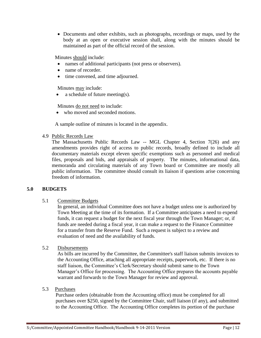Documents and other exhibits, such as photographs, recordings or maps, used by the body at an open or executive session shall, along with the minutes should be maintained as part of the official record of the session.

Minutes should include:

- names of additional participants (not press or observers).
- name of recorder.
- time convened, and time adjourned.

Minutes may include:

a schedule of future meeting(s).

Minutes do not need to include:

• who moved and seconded motions.

A sample outline of minutes is located in the appendix.

#### 4.9 Public Records Law

The Massachusetts Public Records Law -- MGL Chapter 4, Section 7(26) and any amendments provides right of access to public records, broadly defined to include all documentary materials except eleven specific exemptions such as personnel and medical files, proposals and bids, and appraisals of property. The minutes, informational data, memoranda and circulating materials of any Town board or Committee are mostly all public information. The committee should consult its liaison if questions arise concerning freedom of information.

# **5.0 BUDGETS**

#### 5.1 Committee Budgets

In general, an individual Committee does not have a budget unless one is authorized by Town Meeting at the time of its formation. If a Committee anticipates a need to expend funds, it can request a budget for the next fiscal year through the Town Manager; or, if funds are needed during a fiscal year, it can make a request to the Finance Committee for a transfer from the Reserve Fund. Such a request is subject to a review and evaluation of need and the availability of funds.

#### 5.2 Disbursements

As bills are incurred by the Committee, the Committee's staff liaison submits invoices to the Accounting Office, attaching all appropriate receipts, paperwork, etc. If there is no staff liaison, the Committee's Clerk/Secretary should submit same to the Town Manager's Office for processing. The Accounting Office prepares the accounts payable warrant and forwards to the Town Manager for review and approval.

#### 5.3 Purchases

Purchase orders (obtainable from the Accounting office) must be completed for all purchases over \$250, signed by the Committee Chair, staff liaison (if any), and submitted to the Accounting Office. The Accounting Office completes its portion of the purchase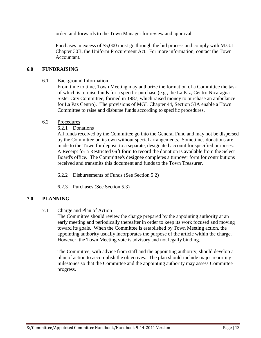order, and forwards to the Town Manager for review and approval.

Purchases in excess of \$5,000 must go through the bid process and comply with M.G.L. Chapter 30B, the Uniform Procurement Act. For more information, contact the Town Accountant.

# **6.0 FUNDRAISING**

# 6.1 Background Information

From time to time, Town Meeting may authorize the formation of a Committee the task of which is to raise funds for a specific purchase (e.g., the La Paz, Centro Nicaragua Sister City Committee, formed in 1987, which raised money to purchase an ambulance for La Paz Centro). The provisions of MGL Chapter 44, Section 53A enable a Town Committee to raise and disburse funds according to specific procedures.

# 6.2 Procedures

6.2.1 Donations

All funds received by the Committee go into the General Fund and may not be dispersed by the Committee on its own without special arrangements. Sometimes donations are made to the Town for deposit to a separate, designated account for specified purposes. A Receipt for a Restricted Gift form to record the donation is available from the Select Board's office. The Committee's designee completes a turnover form for contributions received and transmits this document and funds to the Town Treasurer.

- 6.2.2 Disbursements of Funds (See Section 5.2)
- 6.2.3 Purchases (See Section 5.3)

# **7.0 PLANNING**

7.1 Charge and Plan of Action

The Committee should review the charge prepared by the appointing authority at an early meeting and periodically thereafter in order to keep its work focused and moving toward its goals. When the Committee is established by Town Meeting action, the appointing authority usually incorporates the purpose of the article within the charge. However, the Town Meeting vote is advisory and not legally binding.

The Committee, with advice from staff and the appointing authority, should develop a plan of action to accomplish the objectives. The plan should include major reporting milestones so that the Committee and the appointing authority may assess Committee progress.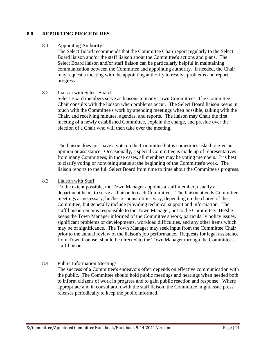#### **8.0 REPORTING PROCEDURES**

#### 8.1 Appointing Authority

The Select Board recommends that the Committee Chair report regularly to the Select Board liaison and/or the staff liaison about the Committee's actions and plans. The Select Board liaison and/or staff liaison can be particularly helpful in maintaining communication between the Committee and appointing authority. If needed, the Chair may request a meeting with the appointing authority to resolve problems and report progress.

#### 8.2 Liaison with Select Board

Select Board members serve as liaisons to many Town Committees. The Committee Chair consults with the liaison when problems occur. The Select Board liaison keeps in touch with the Committee's work by attending meetings when possible, talking with the Chair, and receiving minutes, agendas, and reports. The liaison may Chair the first meeting of a newly established Committee, explain the charge, and preside over the election of a Chair who will then take over the meeting.

The liaison does not have a vote on the Committee but is sometimes asked to give an opinion or assistance. Occasionally, a special Committee is made up of representatives from many Committees; in those cases, all members may be voting members. It is best to clarify voting or nonvoting status at the beginning of the Committee's work. The liaison reports to the full Select Board from time to time about the Committee's progress.

# 8.3 Liaison with Staff

To the extent possible, the Town Manager appoints a staff member, usually a department head, to serve as liaison to each Committee. The liaison attends Committee meetings as necessary; his/her responsibilities vary, depending on the charge of the Committee, but generally include providing technical support and information. The staff liaison remains responsible to the Town Manager, not to the Committee. He/she keeps the Town Manager informed of the Committee's work, particularly policy issues, significant problems or developments, workload difficulties, and any other items which may be of significance. The Town Manager may seek input from the Committee Chair prior to the annual review of the liaison's job performance. Requests for legal assistance from Town Counsel should be directed to the Town Manager through the Committee's staff liaison.

# 8.4 Public Information Meetings

The success of a Committee's endeavors often depends on effective communication with the public. The Committee should hold public meetings and hearings when needed both to inform citizens of work in progress and to gain public reaction and response. Where appropriate and in consultation with the staff liaison, the Committee might issue press releases periodically to keep the public informed.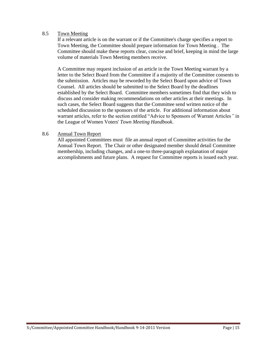# 8.5 Town Meeting

If a relevant article is on the warrant or if the Committee's charge specifies a report to Town Meeting, the Committee should prepare information for Town Meeting . The Committee should make these reports clear, concise and brief, keeping in mind the large volume of materials Town Meeting members receive.

A Committee may request inclusion of an article in the Town Meeting warrant by a letter to the Select Board from the Committee if a majority of the Committee consents to the submission. Articles may be reworded by the Select Board upon advice of Town Counsel. All articles should be submitted to the Select Board by the deadlines established by the Select Board. Committee members sometimes find that they wish to discuss and consider making recommendations on other articles at their meetings. In such cases, the Select Board suggests that the Committee send written notice of the scheduled discussion to the sponsors of the article. For additional information about warrant articles, refer to the section entitled "Advice to Sponsors of Warrant Articles*"* in the League of Women Voters' *Town Meeting Handbook*.

#### 8.6 Annual Town Report

All appointed Committees must file an annual report of Committee activities for the Annual Town Report. The Chair or other designated member should detail Committee membership, including changes, and a one-to three-paragraph explanation of major accomplishments and future plans. A request for Committee reports is issued each year.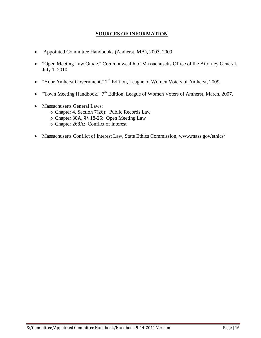# **SOURCES OF INFORMATION**

- Appointed Committee Handbooks (Amherst, MA), 2003, 2009
- "Open Meeting Law Guide," Commonwealth of Massachusetts Office of the Attorney General. July 1, 2010
- "Your Amherst Government,"  $7<sup>th</sup>$  Edition, League of Women Voters of Amherst, 2009.
- "Town Meeting Handbook,"  $7<sup>th</sup>$  Edition, League of Women Voters of Amherst, March, 2007.
- Massachusetts General Laws:
	- o Chapter 4, Section 7(26): Public Records Law
	- o Chapter 30A, §§ 18-25: Open Meeting Law
	- o Chapter 268A: Conflict of Interest
- Massachusetts Conflict of Interest Law, State Ethics Commission, www.mass.gov/ethics/